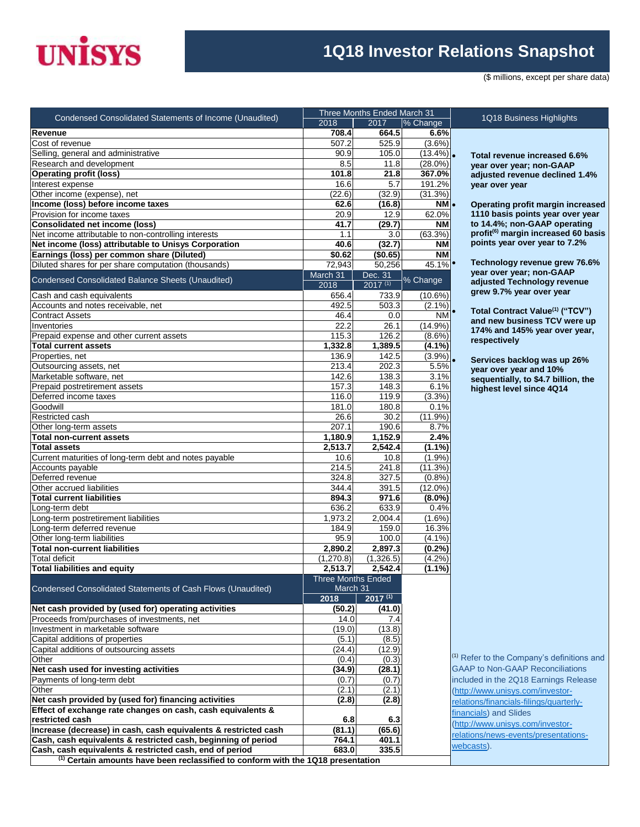

## **1Q18 Investor Relations Snapshot**

(\$ millions, except per share data)

|                                                                                             | Three Months Ended March 31 |                |                     |                                                       |  |  |  |
|---------------------------------------------------------------------------------------------|-----------------------------|----------------|---------------------|-------------------------------------------------------|--|--|--|
| Condensed Consolidated Statements of Income (Unaudited)                                     | 2018                        | 2017           | % Change            | 1Q18 Business Highlights                              |  |  |  |
| Revenue                                                                                     | 708.4                       | 664.5          | 6.6%                |                                                       |  |  |  |
| Cost of revenue                                                                             | 507.2                       | 525.9          | $(3.6\%)$           |                                                       |  |  |  |
| Selling, general and administrative                                                         | 90.9                        | 105.0          | $(13.4\%)$ .        | Total revenue increased 6.                            |  |  |  |
| Research and development                                                                    | 8.5                         | 11.8           | $(28.0\%)$          | year over year; non-GAAP                              |  |  |  |
| <b>Operating profit (loss)</b>                                                              | 101.8                       | 21.8           | 367.0%              | adjusted revenue declined                             |  |  |  |
| Interest expense                                                                            | 16.6                        | 5.7            | 191.2%              | year over year                                        |  |  |  |
| Other income (expense), net                                                                 | (22.6)                      | (32.9)         | (31.3%)             |                                                       |  |  |  |
| Income (loss) before income taxes                                                           | 62.6                        | (16.8)         | NM .                | Operating profit margin ind                           |  |  |  |
| Provision for income taxes                                                                  | 20.9                        | 12.9           | 62.0%               | 1110 basis points year ove                            |  |  |  |
| <b>Consolidated net income (loss)</b>                                                       | 41.7                        | (29.7)         | NΜ                  | to 14.4%; non-GAAP opera                              |  |  |  |
| Net income attributable to non-controlling interests                                        | 1.1                         | 3.0            | (63.3%)             | profit <sup>(6)</sup> margin increased 6              |  |  |  |
| Net income (loss) attributable to Unisys Corporation                                        | 40.6                        | (32.7)         | <b>NM</b>           | points year over year to 7.2                          |  |  |  |
| Earnings (loss) per common share (Diluted)                                                  | \$0.62                      | (\$0.65)       | <b>NM</b>           |                                                       |  |  |  |
| Diluted shares for per share computation (thousands)                                        | 72,943                      | 50,256         | $45.1\%$            | Technology revenue grew                               |  |  |  |
| Condensed Consolidated Balance Sheets (Unaudited)                                           | March 31                    | Dec. 31        | % Change            | year over year; non-GAAP                              |  |  |  |
|                                                                                             | 2018                        | $2017^{(1)}$   |                     | adjusted Technology rever<br>grew 9.7% year over year |  |  |  |
| Cash and cash equivalents                                                                   | 656.4                       | 733.9          | (10.6%)             |                                                       |  |  |  |
| Accounts and notes receivable, net                                                          | 492.5                       | 503.3          | $(2.1\%)$           | Total Contract Value <sup>(1)</sup> ("TO              |  |  |  |
| <b>Contract Assets</b>                                                                      | 46.4                        | 0.0            | ΝM                  | and new business TCV wer                              |  |  |  |
| Inventories                                                                                 | 22.2                        | 26.1           | $(14.9\%)$          | 174% and 145% year over                               |  |  |  |
| Prepaid expense and other current assets                                                    | 115.3                       | 126.2          | $(8.6\%)$           | respectively                                          |  |  |  |
| <b>Total current assets</b>                                                                 | 1,332.8                     | 1,389.5        | $(4.1\%)$           |                                                       |  |  |  |
| Properties, net                                                                             | 136.9                       | 142.5          | $(3.9\%)$ .         | Services backlog was up 2                             |  |  |  |
| Outsourcing assets, net                                                                     | 213.4                       | 202.3          | 5.5%                | year over year and 10%                                |  |  |  |
| Marketable software, net                                                                    | 142.6                       | 138.3          | 3.1%                | sequentially, to \$4.7 billion                        |  |  |  |
| Prepaid postretirement assets                                                               | 157.3                       | 148.3          | 6.1%                | highest level since 4Q14                              |  |  |  |
| Deferred income taxes                                                                       | 116.0                       | 119.9          | $(3.3\%)$           |                                                       |  |  |  |
| Goodwill                                                                                    | 181.0                       | 180.8          | 0.1%                |                                                       |  |  |  |
| Restricted cash                                                                             | 26.6                        | 30.2           | $(11.9\%)$          |                                                       |  |  |  |
| Other long-term assets                                                                      | 207.1                       | 190.6          | 8.7%                |                                                       |  |  |  |
| <b>Total non-current assets</b>                                                             | 1,180.9                     | 1,152.9        | 2.4%                |                                                       |  |  |  |
| <b>Total assets</b>                                                                         | 2,513.7                     | 2,542.4        | $(1.1\%)$           |                                                       |  |  |  |
| Current maturities of long-term debt and notes payable                                      | 10.6                        | 10.8           | (1.9%)              |                                                       |  |  |  |
| Accounts payable                                                                            | 214.5                       | 241.8          | (11.3%)             |                                                       |  |  |  |
| Deferred revenue<br>Other accrued liabilities                                               | 324.8<br>344.4              | 327.5<br>391.5 | (0.8%<br>$(12.0\%)$ |                                                       |  |  |  |
| <b>Total current liabilities</b>                                                            | 894.3                       | 971.6          | $(8.0\%)$           |                                                       |  |  |  |
| Long-term debt                                                                              | 636.2                       | 633.9          | 0.4%                |                                                       |  |  |  |
| Long-term postretirement liabilities                                                        | 1,973.2                     | 2,004.4        | $(1.6\%)$           |                                                       |  |  |  |
| Long-term deferred revenue                                                                  | 184.9                       | 159.0          | 16.3%               |                                                       |  |  |  |
| Other long-term liabilities                                                                 | 95.9                        | 100.0          | (4.1%               |                                                       |  |  |  |
| <b>Total non-current liabilities</b>                                                        | 2,890.2                     | 2.897.3        | (0.2%               |                                                       |  |  |  |
| <b>Total deficit</b>                                                                        | (1, 270.8)                  | (1,326.5)      | (4.2%)              |                                                       |  |  |  |
| <b>Total liabilities and equity</b>                                                         | 2,513.7                     | 2,542.4        | $(1.1\%)$           |                                                       |  |  |  |
|                                                                                             | <b>Three Months Ended</b>   |                |                     |                                                       |  |  |  |
| Condensed Consolidated Statements of Cash Flows (Unaudited)                                 | March 31                    |                |                     |                                                       |  |  |  |
|                                                                                             | 2018                        | $2017^{(1)}$   |                     |                                                       |  |  |  |
| Net cash provided by (used for) operating activities                                        | (50.2)                      | (41.0)         |                     |                                                       |  |  |  |
| Proceeds from/purchases of investments, net                                                 | 14.0                        | 7.4            |                     |                                                       |  |  |  |
| Investment in marketable software                                                           | (19.0)                      | (13.8)         |                     |                                                       |  |  |  |
| Capital additions of properties                                                             | (5.1)                       | (8.5)          |                     |                                                       |  |  |  |
| Capital additions of outsourcing assets                                                     | (24.4)                      | (12.9)         |                     |                                                       |  |  |  |
| Other                                                                                       | (0.4)                       | (0.3)          |                     | <sup>(1)</sup> Refer to the Company's definition      |  |  |  |
| Net cash used for investing activities                                                      | (34.9)                      | (28.1)         |                     | <b>GAAP to Non-GAAP Reconciliatio</b>                 |  |  |  |
| Payments of long-term debt                                                                  | (0.7)                       | (0.7)          |                     | included in the 2Q18 Earnings Re                      |  |  |  |
| Other                                                                                       | (2.1)                       | (2.1)          |                     | (http://www.unisys.com/investor-                      |  |  |  |
| Net cash provided by (used for) financing activities                                        | (2.8)                       | (2.8)          |                     | relations/financials-filings/quarterly                |  |  |  |
| Effect of exchange rate changes on cash, cash equivalents &                                 |                             |                |                     | financials) and Slides                                |  |  |  |
| restricted cash                                                                             | 6.8                         | 6.3            |                     |                                                       |  |  |  |
| Increase (decrease) in cash, cash equivalents & restricted cash                             | (81.1)                      | (65.6)         |                     | (http://www.unisys.com/investor-                      |  |  |  |
| Cash, cash equivalents & restricted cash, beginning of period                               | 764.1                       | 401.1          |                     | relations/news-events/presentatio                     |  |  |  |
| Cash, cash equivalents & restricted cash, end of period                                     | 683.0                       | 335.5          |                     | webcasts).                                            |  |  |  |
| <sup>(1)</sup> Certain amounts have been reclassified to conform with the 1Q18 presentation |                             |                |                     |                                                       |  |  |  |

 **Total revenue increased 6.6% year over year; non-GAAP adjusted revenue declined 1.4% year over year** 

 **Operating profit margin increased 1110 basis points year over year to 14.4%; non-GAAP operating profit(6) margin increased 60 basis points year over year to 7.2%**

 **Technology revenue grew 76.6% year over year; non-GAAP adjusted Technology revenue grew 9.7% year over year**

 **Total Contract Value(1) ("TCV") and new business TCV were up 174% and 145% year over year, respectively**

 **Services backlog was up 26% year over year and 10% sequentially, to \$4.7 billion, the highest level since 4Q14**

<sup>1)</sup> Refer to the Company's definitions and GAAP to Non-GAAP Reconciliations ncluded in the 2Q18 Earnings Release [\(http://www.unisys.com/investor](http://www.unisys.com/investor-relations/financials-filings/quarterly-financials)elations/financials-filings/quarterlyinancials) and Slides http://www.unisys.com/investorelations/news-events/presentationsvebcasts).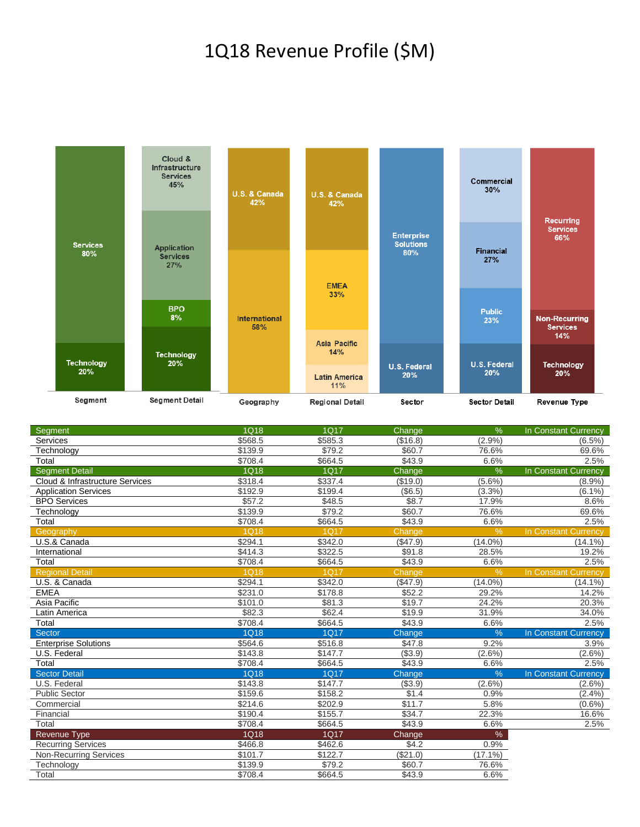## 1Q18 Revenue Profile (\$M)



| <b>Segment</b>                  | 1Q18        | 1Q17            | Change        | %             | In Constant Currency        |
|---------------------------------|-------------|-----------------|---------------|---------------|-----------------------------|
| Services                        | \$568.5     | \$585.3         | (\$16.8)      | (2.9%         | $(6.5\%)$                   |
| Technology                      | \$139.9     | \$79.2          | \$60.7        | 76.6%         | 69.6%                       |
| Total                           | \$708.4     | \$664.5         | \$43.9        | 6.6%          | 2.5%                        |
| <b>Segment Detail</b>           | 1Q18        | 1Q17            | Change        | %             | In Constant Currency        |
| Cloud & Infrastructure Services | \$318.4     | \$337.4         | (\$19.0)      | $(5.6\%)$     | (8.9%                       |
| <b>Application Services</b>     | \$192.9     | \$199.4         | (\$6.5)       | (3.3%)        | $(6.1\%)$                   |
| <b>BPO Services</b>             | \$57.2      | \$48.5          | \$8.7         | 17.9%         | 8.6%                        |
| Technology                      | \$139.9     | \$79.2          | \$60.7        | 76.6%         | 69.6%                       |
| Total                           | \$708.4     | \$664.5         | \$43.9        | 6.6%          | 2.5%                        |
| Geography                       | <b>1Q18</b> | 1017            | Change        | $\frac{9}{6}$ | In Constant Currency        |
| U.S.& Canada                    | \$294.1     | \$342.0         | (\$47.9)      | $(14.0\%)$    | $(14.1\%)$                  |
| International                   | \$414.3     | \$322.5         | \$91.8        | 28.5%         | 19.2%                       |
| Total                           | \$708.4     | \$664.5         | \$43.9        | 6.6%          | 2.5%                        |
| <b>Regional Detail</b>          | 1Q18        | <b>1Q17</b>     | Change        | $\frac{0}{0}$ | <b>In Constant Currency</b> |
| U.S. & Canada                   | \$294.1     | \$342.0         | (\$47.9)      | $(14.0\%)$    | $(14.1\%)$                  |
| <b>EMEA</b>                     | \$231.0     | \$178.8         | \$52.2        | 29.2%         | 14.2%                       |
| Asia Pacific                    | \$101.0     | \$81.3          | \$19.7        | 24.2%         | 20.3%                       |
| Latin America                   | \$82.3      | \$62.4          | \$19.9        | 31.9%         | 34.0%                       |
| Total                           | \$708.4     | \$664.5         | \$43.9        | 6.6%          | 2.5%                        |
| Sector                          | 1Q18        | <b>1Q17</b>     | Change        | $\frac{9}{6}$ | In Constant Currency        |
| <b>Enterprise Solutions</b>     | \$564.6     | \$516.8         | \$47.8        | 9.2%          | 3.9%                        |
| U.S. Federal                    | \$143.8     | \$147.7         | ( \$3.9)      | $(2.6\%)$     | $(2.6\%)$                   |
| Total                           | \$708.4     | \$664.5         | \$43.9        | 6.6%          | 2.5%                        |
| <b>Sector Detail</b>            | 1Q18        | <b>1Q17</b>     | <b>Change</b> | %             | In Constant Currency        |
| U.S. Federal                    | \$143.8     | \$147.7         | (\$3.9)       | $(2.6\%)$     | $(2.6\%)$                   |
| <b>Public Sector</b>            | \$159.6     | \$158.2         | \$1.4         | 0.9%          | (2.4% )                     |
| Commercial                      | \$214.6     | \$202.9         | \$11.7        | 5.8%          | $(0.6\%)$                   |
| Financial                       | \$190.4     | \$155.7         | \$34.7        | 22.3%         | 16.6%                       |
| Total                           | \$708.4     | \$664.5         | \$43.9        | 6.6%          | 2.5%                        |
| <b>Revenue Type</b>             | 1Q18        | <b>1Q17</b>     | Change        | %             |                             |
| <b>Recurring Services</b>       | \$466.8     | \$462.6         | \$4.2         | 0.9%          |                             |
| <b>Non-Recurring Services</b>   | \$101.7     | $\sqrt{$122.7}$ | (\$21.0)      | $(17.1\%)$    |                             |
| Technology                      | \$139.9     | \$79.2          | \$60.7        | 76.6%         |                             |
| Total                           | \$708.4     | \$664.5         | \$43.9        | 6.6%          |                             |